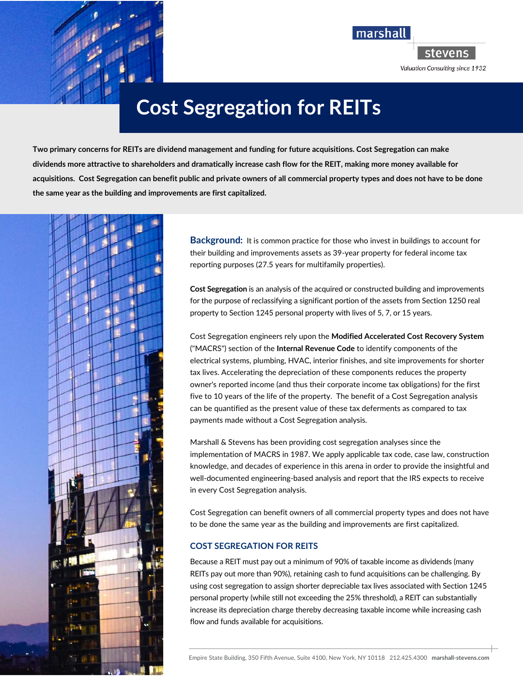



Valuation Consulting since 1932

**Cost Segregation for REITs** 

**Two primary concerns for REITs are dividend management and funding for future acquisitions. Cost Segregation can make dividends more attractive to shareholders and dramatically increase cash flow for the REIT, making more money available for acquisitions. Cost Segregation can benefit public and private owners of all commercial property types and does not have to be done the same year as the building and improvements are first capitalized.** 



**Background:** It is common practice for those who invest in buildings to account for their building and improvements assets as 39-year property for federal income tax reporting purposes (27.5 years for multifamily properties).

**Cost Segregation** is an analysis of the acquired or constructed building and improvements for the purpose of reclassifying a significant portion of the assets from Section 1250 real property to Section 1245 personal property with lives of 5, 7, or 15 years.

Cost Segregation engineers rely upon the **Modified Accelerated Cost Recovery System** ("MACRS") section of the **Internal Revenue Code** to identify components of the electrical systems, plumbing, HVAC, interior finishes, and site improvements for shorter tax lives. Accelerating the depreciation of these components reduces the property owner's reported income (and thus their corporate income tax obligations) for the first five to 10 years of the life of the property. The benefit of a Cost Segregation analysis can be quantified as the present value of these tax deferments as compared to tax payments made without a Cost Segregation analysis.

Marshall & Stevens has been providing cost segregation analyses since the implementation of MACRS in 1987. We apply applicable tax code, case law, construction knowledge, and decades of experience in this arena in order to provide the insightful and well-documented engineering-based analysis and report that the IRS expects to receive in every Cost Segregation analysis.

Cost Segregation can benefit owners of all commercial property types and does not have to be done the same year as the building and improvements are first capitalized.

## **COST SEGREGATION FOR REITS**

Because a REIT must pay out a minimum of 90% of taxable income as dividends (many REITs pay out more than 90%), retaining cash to fund acquisitions can be challenging. By using cost segregation to assign shorter depreciable tax lives associated with Section 1245 personal property (while still not exceeding the 25% threshold), a REIT can substantially increase its depreciation charge thereby decreasing taxable income while increasing cash flow and funds available for acquisitions.